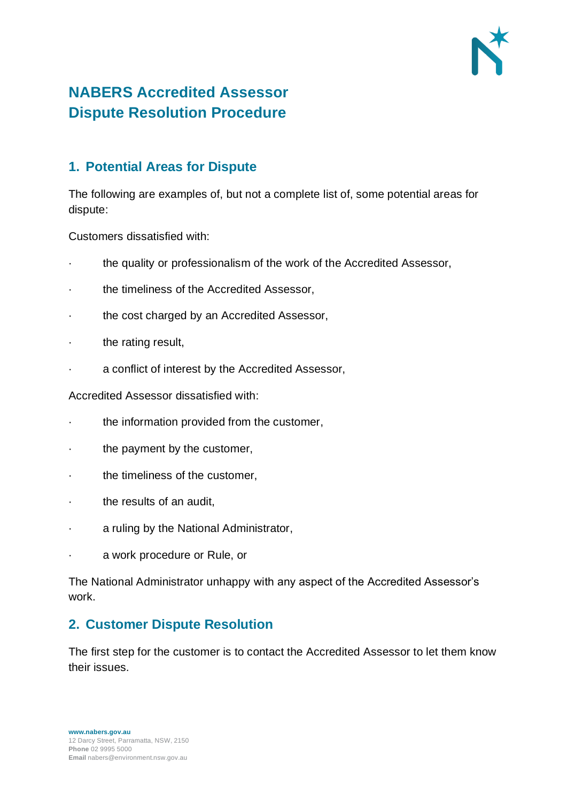

# **NABERS Accredited Assessor Dispute Resolution Procedure**

## **1. Potential Areas for Dispute**

The following are examples of, but not a complete list of, some potential areas for dispute:

Customers dissatisfied with:

- · the quality or professionalism of the work of the Accredited Assessor,
- the timeliness of the Accredited Assessor,
- · the cost charged by an Accredited Assessor,
- the rating result,
- · a conflict of interest by the Accredited Assessor,

Accredited Assessor dissatisfied with:

- the information provided from the customer,
- the payment by the customer,
- · the timeliness of the customer,
- the results of an audit,
- a ruling by the National Administrator,
- a work procedure or Rule, or

The National Administrator unhappy with any aspect of the Accredited Assessor's work.

## **2. Customer Dispute Resolution**

The first step for the customer is to contact the Accredited Assessor to let them know their issues.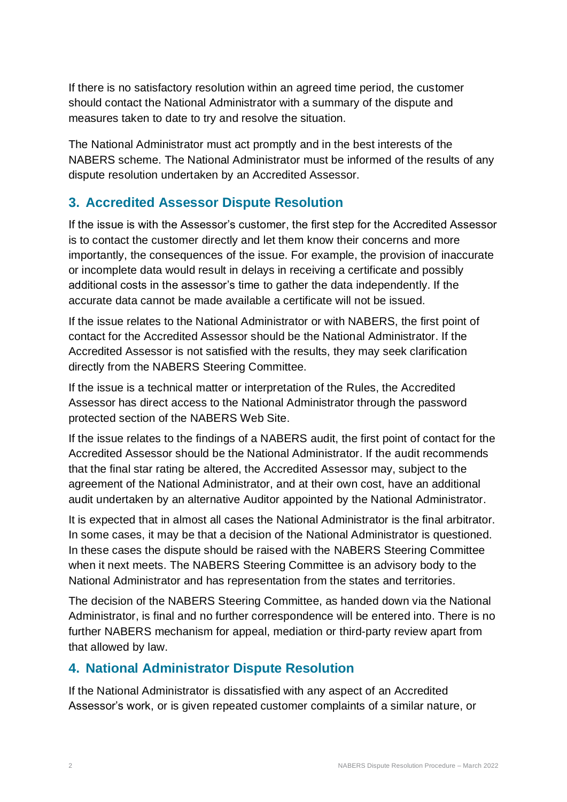If there is no satisfactory resolution within an agreed time period, the customer should contact the National Administrator with a summary of the dispute and measures taken to date to try and resolve the situation.

The National Administrator must act promptly and in the best interests of the NABERS scheme. The National Administrator must be informed of the results of any dispute resolution undertaken by an Accredited Assessor.

## **3. Accredited Assessor Dispute Resolution**

If the issue is with the Assessor's customer, the first step for the Accredited Assessor is to contact the customer directly and let them know their concerns and more importantly, the consequences of the issue. For example, the provision of inaccurate or incomplete data would result in delays in receiving a certificate and possibly additional costs in the assessor's time to gather the data independently. If the accurate data cannot be made available a certificate will not be issued.

If the issue relates to the National Administrator or with NABERS, the first point of contact for the Accredited Assessor should be the National Administrator. If the Accredited Assessor is not satisfied with the results, they may seek clarification directly from the NABERS Steering Committee.

If the issue is a technical matter or interpretation of the Rules, the Accredited Assessor has direct access to the National Administrator through the password protected section of the NABERS Web Site.

If the issue relates to the findings of a NABERS audit, the first point of contact for the Accredited Assessor should be the National Administrator. If the audit recommends that the final star rating be altered, the Accredited Assessor may, subject to the agreement of the National Administrator, and at their own cost, have an additional audit undertaken by an alternative Auditor appointed by the National Administrator.

It is expected that in almost all cases the National Administrator is the final arbitrator. In some cases, it may be that a decision of the National Administrator is questioned. In these cases the dispute should be raised with the NABERS Steering Committee when it next meets. The NABERS Steering Committee is an advisory body to the National Administrator and has representation from the states and territories.

The decision of the NABERS Steering Committee, as handed down via the National Administrator, is final and no further correspondence will be entered into. There is no further NABERS mechanism for appeal, mediation or third-party review apart from that allowed by law.

## **4. National Administrator Dispute Resolution**

If the National Administrator is dissatisfied with any aspect of an Accredited Assessor's work, or is given repeated customer complaints of a similar nature, or